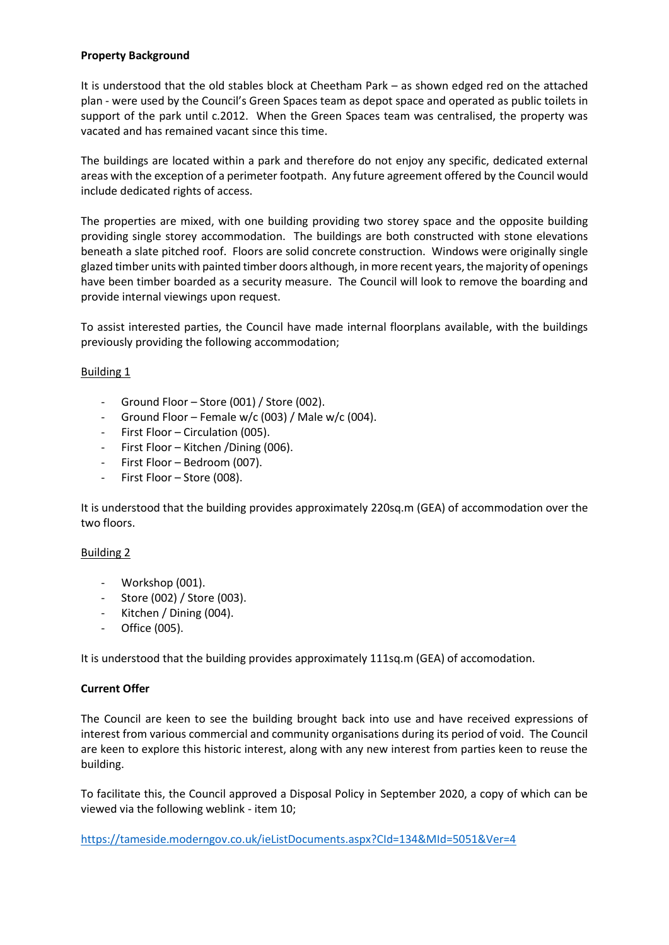## **Property Background**

It is understood that the old stables block at Cheetham Park – as shown edged red on the attached plan - were used by the Council's Green Spaces team as depot space and operated as public toilets in support of the park until c.2012. When the Green Spaces team was centralised, the property was vacated and has remained vacant since this time.

The buildings are located within a park and therefore do not enjoy any specific, dedicated external areas with the exception of a perimeter footpath. Any future agreement offered by the Council would include dedicated rights of access.

The properties are mixed, with one building providing two storey space and the opposite building providing single storey accommodation. The buildings are both constructed with stone elevations beneath a slate pitched roof. Floors are solid concrete construction. Windows were originally single glazed timber units with painted timber doors although, in more recent years, the majority of openings have been timber boarded as a security measure. The Council will look to remove the boarding and provide internal viewings upon request.

To assist interested parties, the Council have made internal floorplans available, with the buildings previously providing the following accommodation;

# Building 1

- Ground Floor Store (001) / Store (002).
- Ground Floor Female w/c (003) / Male w/c (004).
- First Floor Circulation (005).
- First Floor Kitchen / Dining (006).
- First Floor Bedroom (007).
- First Floor Store (008).

It is understood that the building provides approximately 220sq.m (GEA) of accommodation over the two floors.

### Building 2

- Workshop (001).
- Store (002) / Store (003).
- Kitchen / Dining (004).
- Office (005).

It is understood that the building provides approximately 111sq.m (GEA) of accomodation.

### **Current Offer**

The Council are keen to see the building brought back into use and have received expressions of interest from various commercial and community organisations during its period of void. The Council are keen to explore this historic interest, along with any new interest from parties keen to reuse the building.

To facilitate this, the Council approved a Disposal Policy in September 2020, a copy of which can be viewed via the following weblink - item 10;

<https://tameside.moderngov.co.uk/ieListDocuments.aspx?CId=134&MId=5051&Ver=4>